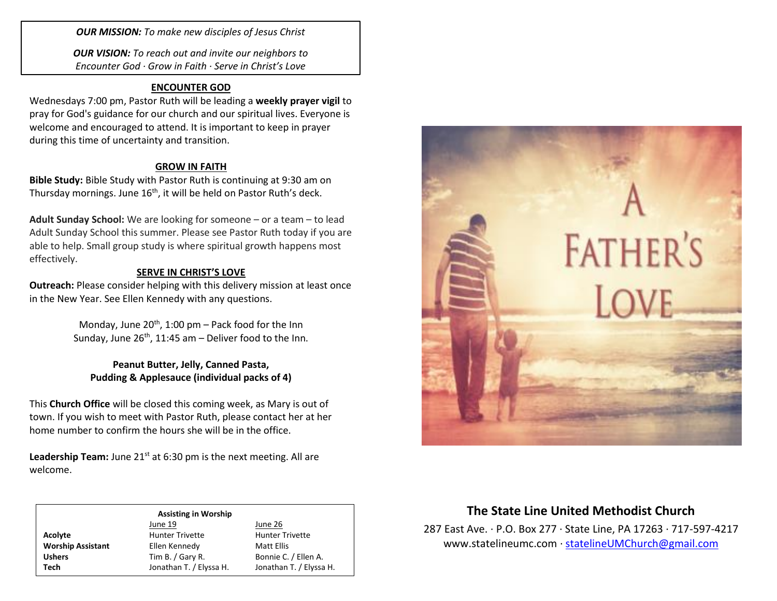*OUR MISSION: To make new disciples of Jesus Christ*

*OUR VISION: To reach out and invite our neighbors to Encounter God · Grow in Faith · Serve in Christ's Love*

### **ENCOUNTER GOD**

Wednesdays 7:00 pm, Pastor Ruth will be leading a **weekly prayer vigil** to pray for God's guidance for our church and our spiritual lives. Everyone is welcome and encouraged to attend. It is important to keep in prayer during this time of uncertainty and transition.

### **GROW IN FAITH**

**Bible Study:** Bible Study with Pastor Ruth is continuing at 9:30 am on Thursday mornings. June 16<sup>th</sup>, it will be held on Pastor Ruth's deck.

**Adult Sunday School:** We are looking for someone – or a team – to lead Adult Sunday School this summer. Please see Pastor Ruth today if you are able to help. Small group study is where spiritual growth happens most effectively.

### **SERVE IN CHRIST'S LOVE**

**Outreach:** Please consider helping with this delivery mission at least once in the New Year. See Ellen Kennedy with any questions.

> Monday, June  $20^{th}$ , 1:00 pm – Pack food for the Inn Sunday, June  $26^{th}$ , 11:45 am - Deliver food to the Inn.

**Peanut Butter, Jelly, Canned Pasta, Pudding & Applesauce (individual packs of 4)**

This **Church Office** will be closed this coming week, as Mary is out of town. If you wish to meet with Pastor Ruth, please contact her at her home number to confirm the hours she will be in the office.

**Leadership Team:** June 21<sup>st</sup> at 6:30 pm is the next meeting. All are welcome.

| <b>Assisting in Worship</b> |                         |                         |  |
|-----------------------------|-------------------------|-------------------------|--|
|                             | June 19                 | June 26                 |  |
| Acolyte                     | <b>Hunter Trivette</b>  | <b>Hunter Trivette</b>  |  |
| <b>Worship Assistant</b>    | Ellen Kennedy           | Matt Ellis              |  |
| <b>Ushers</b>               | Tim B. / Gary R.        | Bonnie C. / Ellen A.    |  |
| Tech                        | Jonathan T. / Elyssa H. | Jonathan T. / Elyssa H. |  |



# **The State Line United Methodist Church**

287 East Ave. · P.O. Box 277 · State Line, PA 17263 · 717-597-4217 [www.statelineumc.com](http://www.statelineumc.com/) · [statelineUMChurch@gmail.com](mailto:statelineUMChurch@gmail.com)